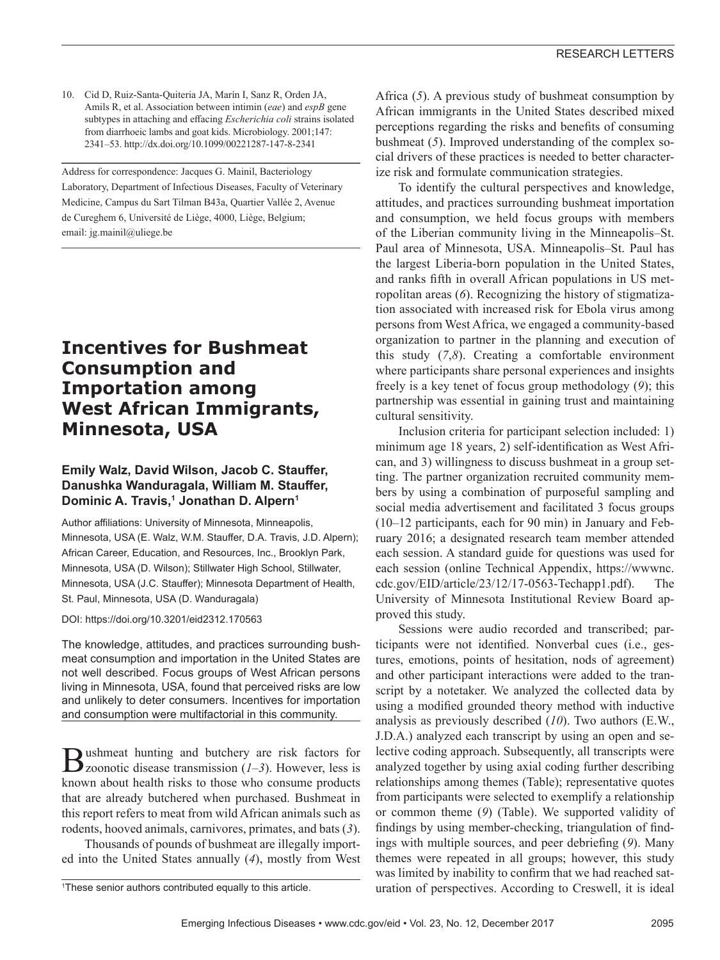10. Cid D, Ruiz-Santa-Quiteria JA, Marín I, Sanz R, Orden JA, Amils R, et al. Association between intimin (*eae*) and *espB* gene subtypes in attaching and effacing *Escherichia coli* strains isolated from diarrhoeic lambs and goat kids. Microbiology. 2001;147: 2341–53. http://dx.doi.org/10.1099/00221287-147-8-2341

Address for correspondence: Jacques G. Mainil, Bacteriology Laboratory, Department of Infectious Diseases, Faculty of Veterinary Medicine, Campus du Sart Tilman B43a, Quartier Vallée 2, Avenue de Cureghem 6, Université de Liège, 4000, Liège, Belgium; email: jg.mainil@uliege.be

## **Incentives for Bushmeat Consumption and Importation among West African Immigrants, Minnesota, USA**

#### **Emily Walz, David Wilson, Jacob C. Stauffer, Danushka Wanduragala, William M. Stauffer, Dominic A. Travis,1 Jonathan D. Alpern1**

Author affiliations: University of Minnesota, Minneapolis, Minnesota, USA (E. Walz, W.M. Stauffer, D.A. Travis, J.D. Alpern); African Career, Education, and Resources, Inc., Brooklyn Park, Minnesota, USA (D. Wilson); Stillwater High School, Stillwater, Minnesota, USA (J.C. Stauffer); Minnesota Department of Health, St. Paul, Minnesota, USA (D. Wanduragala)

DOI: https://doi.org/10.3201/eid2312.170563

The knowledge, attitudes, and practices surrounding bushmeat consumption and importation in the United States are not well described. Focus groups of West African persons living in Minnesota, USA, found that perceived risks are low and unlikely to deter consumers. Incentives for importation and consumption were multifactorial in this community.

**B**ushmeat hunting and butchery are risk factors for  $(1-3)$ . However, less is known about health risks to those who consume products that are already butchered when purchased. Bushmeat in this report refers to meat from wild African animals such as rodents, hooved animals, carnivores, primates, and bats (*3*).

Thousands of pounds of bushmeat are illegally imported into the United States annually (*4*), mostly from West

<sup>1</sup>These senior authors contributed equally to this article.

Africa (*5*). A previous study of bushmeat consumption by African immigrants in the United States described mixed perceptions regarding the risks and benefits of consuming bushmeat (*5*). Improved understanding of the complex social drivers of these practices is needed to better characterize risk and formulate communication strategies.

To identify the cultural perspectives and knowledge, attitudes, and practices surrounding bushmeat importation and consumption, we held focus groups with members of the Liberian community living in the Minneapolis–St. Paul area of Minnesota, USA. Minneapolis–St. Paul has the largest Liberia-born population in the United States, and ranks fifth in overall African populations in US metropolitan areas (*6*). Recognizing the history of stigmatization associated with increased risk for Ebola virus among persons from West Africa, we engaged a community-based organization to partner in the planning and execution of this study (*7*,*8*). Creating a comfortable environment where participants share personal experiences and insights freely is a key tenet of focus group methodology (*9*); this partnership was essential in gaining trust and maintaining cultural sensitivity.

Inclusion criteria for participant selection included: 1) minimum age 18 years, 2) self-identification as West African, and 3) willingness to discuss bushmeat in a group setting. The partner organization recruited community members by using a combination of purposeful sampling and social media advertisement and facilitated 3 focus groups (10–12 participants, each for 90 min) in January and February 2016; a designated research team member attended each session. A standard guide for questions was used for each session (online Technical Appendix, https://wwwnc. cdc.gov/EID/article/23/12/17-0563-Techapp1.pdf). The University of Minnesota Institutional Review Board approved this study.

Sessions were audio recorded and transcribed; participants were not identified. Nonverbal cues (i.e., gestures, emotions, points of hesitation, nods of agreement) and other participant interactions were added to the transcript by a notetaker. We analyzed the collected data by using a modified grounded theory method with inductive analysis as previously described (*10*). Two authors (E.W., J.D.A.) analyzed each transcript by using an open and selective coding approach. Subsequently, all transcripts were analyzed together by using axial coding further describing relationships among themes (Table); representative quotes from participants were selected to exemplify a relationship or common theme (*9*) (Table). We supported validity of findings by using member-checking, triangulation of findings with multiple sources, and peer debriefing (*9*). Many themes were repeated in all groups; however, this study was limited by inability to confirm that we had reached saturation of perspectives. According to Creswell, it is ideal <sup>1</sup>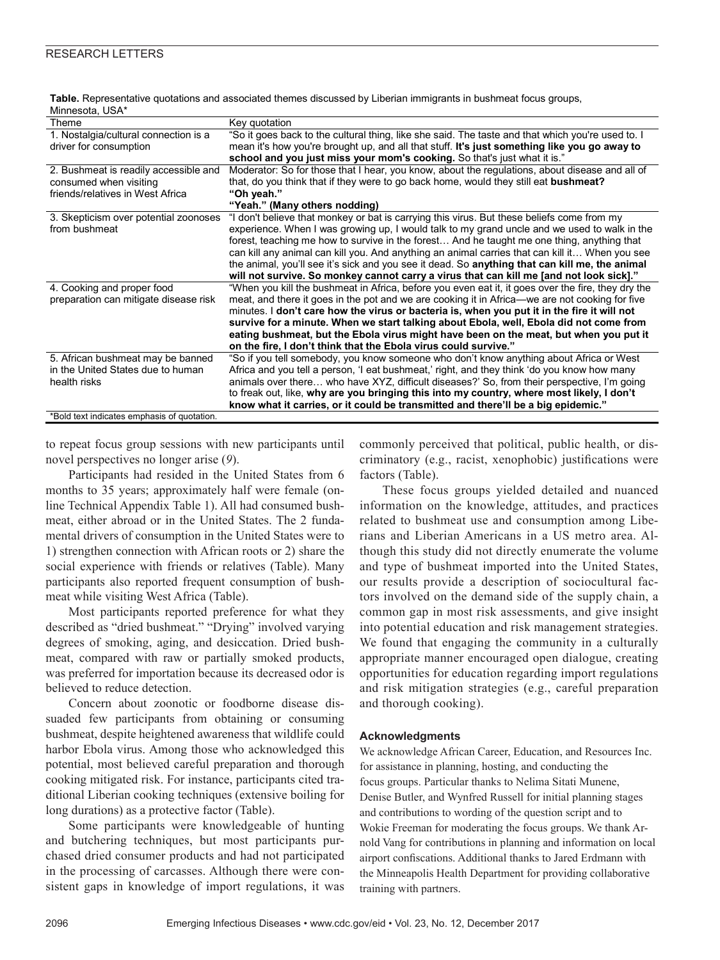| Theme                                       | Key quotation                                                                                      |
|---------------------------------------------|----------------------------------------------------------------------------------------------------|
| 1. Nostalgia/cultural connection is a       | "So it goes back to the cultural thing, like she said. The taste and that which you're used to. I  |
| driver for consumption                      | mean it's how you're brought up, and all that stuff. It's just something like you go away to       |
|                                             | school and you just miss your mom's cooking. So that's just what it is."                           |
| 2. Bushmeat is readily accessible and       | Moderator: So for those that I hear, you know, about the regulations, about disease and all of     |
| consumed when visiting                      | that, do you think that if they were to go back home, would they still eat bushmeat?               |
| friends/relatives in West Africa            | "Oh yeah."                                                                                         |
|                                             | "Yeah." (Many others nodding)                                                                      |
| 3. Skepticism over potential zoonoses       | "I don't believe that monkey or bat is carrying this virus. But these beliefs come from my         |
| from bushmeat                               | experience. When I was growing up, I would talk to my grand uncle and we used to walk in the       |
|                                             | forest, teaching me how to survive in the forest And he taught me one thing, anything that         |
|                                             | can kill any animal can kill you. And anything an animal carries that can kill it When you see     |
|                                             | the animal, you'll see it's sick and you see it dead. So anything that can kill me, the animal     |
|                                             | will not survive. So monkey cannot carry a virus that can kill me [and not look sick]."            |
| 4. Cooking and proper food                  | "When you kill the bushmeat in Africa, before you even eat it, it goes over the fire, they dry the |
| preparation can mitigate disease risk       | meat, and there it goes in the pot and we are cooking it in Africa—we are not cooking for five     |
|                                             | minutes. I don't care how the virus or bacteria is, when you put it in the fire it will not        |
|                                             | survive for a minute. When we start talking about Ebola, well, Ebola did not come from             |
|                                             | eating bushmeat, but the Ebola virus might have been on the meat, but when you put it              |
|                                             | on the fire, I don't think that the Ebola virus could survive."                                    |
| 5. African bushmeat may be banned           | "So if you tell somebody, you know someone who don't know anything about Africa or West            |
| in the United States due to human           | Africa and you tell a person, 'I eat bushmeat,' right, and they think 'do you know how many        |
| health risks                                | animals over there who have XYZ, difficult diseases?' So, from their perspective, I'm going        |
|                                             | to freak out, like, why are you bringing this into my country, where most likely, I don't          |
|                                             | know what it carries, or it could be transmitted and there'll be a big epidemic."                  |
| *Bold text indicates emphasis of quotation. |                                                                                                    |

**Table.** Representative quotations and associated themes discussed by Liberian immigrants in bushmeat focus groups, Minnesota, USA\*

to repeat focus group sessions with new participants until novel perspectives no longer arise (*9*).

Participants had resided in the United States from 6 months to 35 years; approximately half were female (online Technical Appendix Table 1). All had consumed bushmeat, either abroad or in the United States. The 2 fundamental drivers of consumption in the United States were to 1) strengthen connection with African roots or 2) share the social experience with friends or relatives (Table). Many participants also reported frequent consumption of bushmeat while visiting West Africa (Table).

Most participants reported preference for what they described as "dried bushmeat." "Drying" involved varying degrees of smoking, aging, and desiccation. Dried bushmeat, compared with raw or partially smoked products, was preferred for importation because its decreased odor is believed to reduce detection.

Concern about zoonotic or foodborne disease dissuaded few participants from obtaining or consuming bushmeat, despite heightened awareness that wildlife could harbor Ebola virus. Among those who acknowledged this potential, most believed careful preparation and thorough cooking mitigated risk. For instance, participants cited traditional Liberian cooking techniques (extensive boiling for long durations) as a protective factor (Table).

Some participants were knowledgeable of hunting and butchering techniques, but most participants purchased dried consumer products and had not participated in the processing of carcasses. Although there were consistent gaps in knowledge of import regulations, it was

commonly perceived that political, public health, or discriminatory (e.g., racist, xenophobic) justifications were factors (Table).

These focus groups yielded detailed and nuanced information on the knowledge, attitudes, and practices related to bushmeat use and consumption among Liberians and Liberian Americans in a US metro area. Although this study did not directly enumerate the volume and type of bushmeat imported into the United States, our results provide a description of sociocultural factors involved on the demand side of the supply chain, a common gap in most risk assessments, and give insight into potential education and risk management strategies. We found that engaging the community in a culturally appropriate manner encouraged open dialogue, creating opportunities for education regarding import regulations and risk mitigation strategies (e.g., careful preparation and thorough cooking).

#### **Acknowledgments**

We acknowledge African Career, Education, and Resources Inc. for assistance in planning, hosting, and conducting the focus groups. Particular thanks to Nelima Sitati Munene, Denise Butler, and Wynfred Russell for initial planning stages and contributions to wording of the question script and to Wokie Freeman for moderating the focus groups. We thank Arnold Vang for contributions in planning and information on local airport confiscations. Additional thanks to Jared Erdmann with the Minneapolis Health Department for providing collaborative training with partners.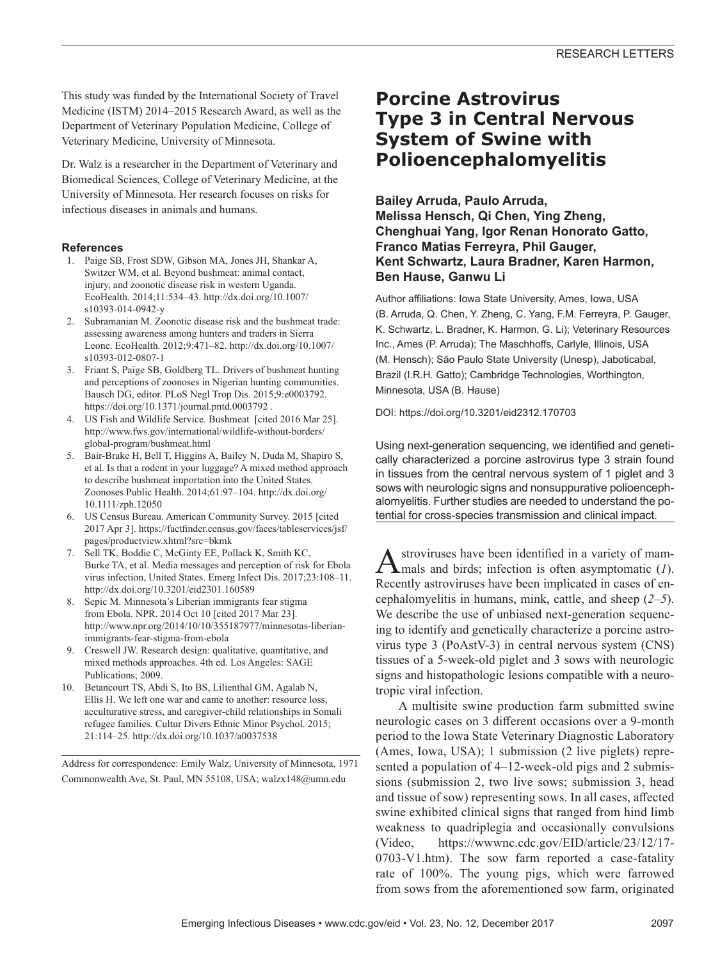This study was funded by the International Society of Travel Medicine (ISTM) 2014–2015 Research Award, as well as the Department of Veterinary Population Medicine, College of Veterinary Medicine, University of Minnesota.

Dr. Walz is a researcher in the Department of Veterinary and Biomedical Sciences, College of Veterinary Medicine, at the University of Minnesota. Her research focuses on risks for infectious diseases in animals and humans.

#### **References**

- 1. Paige SB, Frost SDW, Gibson MA, Jones JH, Shankar A, Switzer WM, et al. Beyond bushmeat: animal contact, injury, and zoonotic disease risk in western Uganda. EcoHealth. 2014;11:534–43. http://dx.doi.org/10.1007/ s10393-014-0942-y
- 2. Subramanian M. Zoonotic disease risk and the bushmeat trade: assessing awareness among hunters and traders in Sierra Leone. EcoHealth. 2012;9:471–82. http://dx.doi.org/10.1007/ s10393-012-0807-1
- 3. Friant S, Paige SB, Goldberg TL. Drivers of bushmeat hunting and perceptions of zoonoses in Nigerian hunting communities. Bausch DG, editor. PLoS Negl Trop Dis. 2015;9:e0003792. https://doi.org/10.1371/journal.pntd.0003792 .
- 4. US Fish and Wildlife Service. Bushmeat [cited 2016 Mar 25]. http://www.fws.gov/international/wildlife-without-borders/ global-program/bushmeat.html
- 5. Bair-Brake H, Bell T, Higgins A, Bailey N, Duda M, Shapiro S, et al. Is that a rodent in your luggage? A mixed method approach to describe bushmeat importation into the United States. Zoonoses Public Health. 2014;61:97–104. http://dx.doi.org/ 10.1111/zph.12050
- 6. US Census Bureau. American Community Survey. 2015 [cited 2017 Apr 3]. https://factfinder.census.gov/faces/tableservices/jsf/ pages/productview.xhtml?src=bkmk
- 7. Sell TK, Boddie C, McGinty EE, Pollack K, Smith KC, Burke TA, et al. Media messages and perception of risk for Ebola virus infection, United States. Emerg Infect Dis. 2017;23:108–11. http://dx.doi.org/10.3201/eid2301.160589
- 8. Sepic M. Minnesota's Liberian immigrants fear stigma from Ebola. NPR. 2014 Oct 10 [cited 2017 Mar 23]. http://www.npr.org/2014/10/10/355187977/minnesotas-liberianimmigrants-fear-stigma-from-ebola
- 9. Creswell JW. Research design: qualitative, quantitative, and mixed methods approaches. 4th ed. Los Angeles: SAGE Publications; 2009.
- 10. Betancourt TS, Abdi S, Ito BS, Lilienthal GM, Agalab N, Ellis H. We left one war and came to another: resource loss, acculturative stress, and caregiver-child relationships in Somali refugee families. Cultur Divers Ethnic Minor Psychol. 2015; 21:114–25. http://dx.doi.org/10.1037/a0037538

Address for correspondence: Emily Walz, University of Minnesota, 1971 Commonwealth Ave, St. Paul, MN 55108, USA; walzx148@umn.edu

## **Porcine Astrovirus Type 3 in Central Nervous System of Swine with Polioencephalomyelitis**

**Bailey Arruda, Paulo Arruda, Melissa Hensch, Qi Chen, Ying Zheng, Chenghuai Yang, Igor Renan Honorato Gatto, Franco Matias Ferreyra, Phil Gauger, Kent Schwartz, Laura Bradner, Karen Harmon, Ben Hause, Ganwu Li**

Author affiliations: Iowa State University, Ames, Iowa, USA (B. Arruda, Q. Chen, Y. Zheng, C. Yang, F.M. Ferreyra, P. Gauger, K. Schwartz, L. Bradner, K. Harmon, G. Li); Veterinary Resources Inc., Ames (P. Arruda); The Maschhoffs, Carlyle, Illinois, USA (M. Hensch); São Paulo State University (Unesp), Jaboticabal, Brazil (I.R.H. Gatto); Cambridge Technologies, Worthington, Minnesota, USA (B. Hause)

DOI: https://doi.org/10.3201/eid2312.170703

Using next-generation sequencing, we identified and genetically characterized a porcine astrovirus type 3 strain found in tissues from the central nervous system of 1 piglet and 3 sows with neurologic signs and nonsuppurative polioencephalomyelitis. Further studies are needed to understand the potential for cross-species transmission and clinical impact.

Astroviruses have been identified in a variety of mam-<br>mals and birds; infection is often asymptomatic (*1*). Recently astroviruses have been implicated in cases of encephalomyelitis in humans, mink, cattle, and sheep (*2*‒*5*). We describe the use of unbiased next-generation sequencing to identify and genetically characterize a porcine astrovirus type 3 (PoAstV-3) in central nervous system (CNS) tissues of a 5-week-old piglet and 3 sows with neurologic signs and histopathologic lesions compatible with a neurotropic viral infection.

A multisite swine production farm submitted swine neurologic cases on 3 different occasions over a 9-month period to the Iowa State Veterinary Diagnostic Laboratory (Ames, Iowa, USA); 1 submission (2 live piglets) represented a population of 4–12-week-old pigs and 2 submissions (submission 2, two live sows; submission 3, head and tissue of sow) representing sows. In all cases, affected swine exhibited clinical signs that ranged from hind limb weakness to quadriplegia and occasionally convulsions (Video, https://wwwnc.cdc.gov/EID/article/23/12/17- 0703-V1.htm). The sow farm reported a case-fatality rate of 100%. The young pigs, which were farrowed from sows from the aforementioned sow farm, originated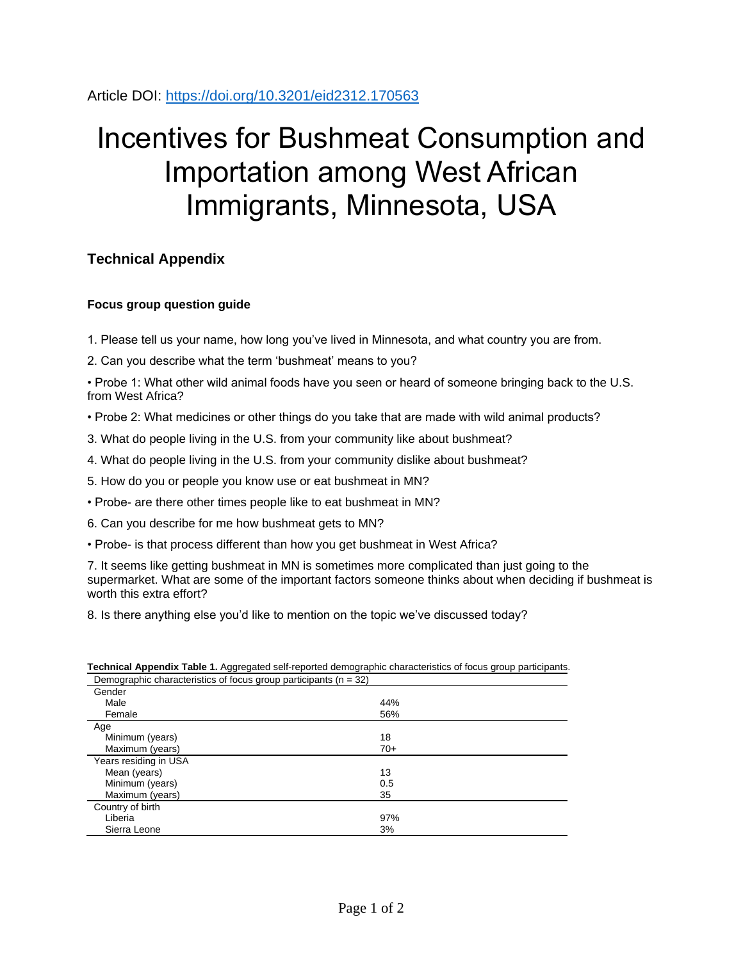Article DOI:<https://doi.org/10.3201/eid2312.170563>

# Incentives for Bushmeat Consumption and Importation among West African Immigrants, Minnesota, USA

## **Technical Appendix**

### **Focus group question guide**

1. Please tell us your name, how long you've lived in Minnesota, and what country you are from.

2. Can you describe what the term 'bushmeat' means to you?

• Probe 1: What other wild animal foods have you seen or heard of someone bringing back to the U.S. from West Africa?

• Probe 2: What medicines or other things do you take that are made with wild animal products?

3. What do people living in the U.S. from your community like about bushmeat?

4. What do people living in the U.S. from your community dislike about bushmeat?

5. How do you or people you know use or eat bushmeat in MN?

• Probe- are there other times people like to eat bushmeat in MN?

6. Can you describe for me how bushmeat gets to MN?

• Probe- is that process different than how you get bushmeat in West Africa?

7. It seems like getting bushmeat in MN is sometimes more complicated than just going to the supermarket. What are some of the important factors someone thinks about when deciding if bushmeat is worth this extra effort?

8. Is there anything else you'd like to mention on the topic we've discussed today?

| Demographic characteristics of focus group participants ( $n = 32$ ) |       |  |
|----------------------------------------------------------------------|-------|--|
| Gender                                                               |       |  |
| Male                                                                 | 44%   |  |
| Female                                                               | 56%   |  |
| Age                                                                  |       |  |
| Minimum (years)                                                      | 18    |  |
| Maximum (years)                                                      | $70+$ |  |
| Years residing in USA                                                |       |  |
| Mean (years)                                                         | 13    |  |
| Minimum (years)                                                      | 0.5   |  |
| Maximum (years)                                                      | 35    |  |
| Country of birth                                                     |       |  |
| Liberia                                                              | 97%   |  |
| Sierra Leone                                                         | 3%    |  |

## **Technical Appendix Table 1.** Aggregated self-reported demographic characteristics of focus group participants.